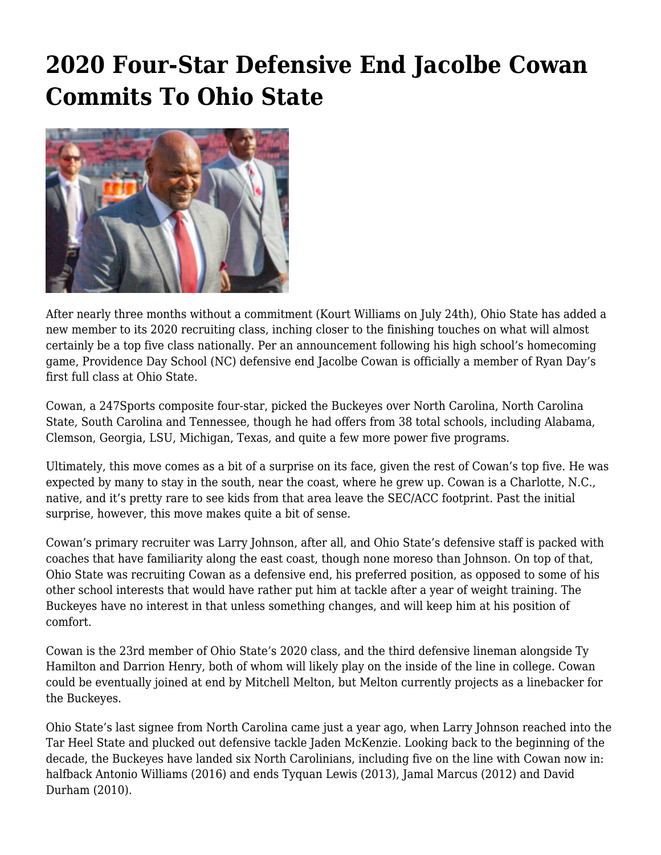## **[2020 Four-Star Defensive End Jacolbe Cowan](https://www.buckeyesports.com/2020-four-star-defensive-end-jacolbe-cowan-commits-to-ohio-state/) [Commits To Ohio State](https://www.buckeyesports.com/2020-four-star-defensive-end-jacolbe-cowan-commits-to-ohio-state/)**



After nearly three months without a commitment (Kourt Williams on July 24th), Ohio State has added a new member to its 2020 recruiting class, inching closer to the finishing touches on what will almost certainly be a top five class nationally. Per an announcement following his high school's homecoming game, Providence Day School (NC) defensive end Jacolbe Cowan is officially a member of Ryan Day's first full class at Ohio State.

Cowan, a 247Sports composite four-star, picked the Buckeyes over North Carolina, North Carolina State, South Carolina and Tennessee, though he had offers from 38 total schools, including Alabama, Clemson, Georgia, LSU, Michigan, Texas, and quite a few more power five programs.

Ultimately, this move comes as a bit of a surprise on its face, given the rest of Cowan's top five. He was expected by many to stay in the south, near the coast, where he grew up. Cowan is a Charlotte, N.C., native, and it's pretty rare to see kids from that area leave the SEC/ACC footprint. Past the initial surprise, however, this move makes quite a bit of sense.

Cowan's primary recruiter was Larry Johnson, after all, and Ohio State's defensive staff is packed with coaches that have familiarity along the east coast, though none moreso than Johnson. On top of that, Ohio State was recruiting Cowan as a defensive end, his preferred position, as opposed to some of his other school interests that would have rather put him at tackle after a year of weight training. The Buckeyes have no interest in that unless something changes, and will keep him at his position of comfort.

Cowan is the 23rd member of Ohio State's 2020 class, and the third defensive lineman alongside Ty Hamilton and Darrion Henry, both of whom will likely play on the inside of the line in college. Cowan could be eventually joined at end by Mitchell Melton, but Melton currently projects as a linebacker for the Buckeyes.

Ohio State's last signee from North Carolina came just a year ago, when Larry Johnson reached into the Tar Heel State and plucked out defensive tackle Jaden McKenzie. Looking back to the beginning of the decade, the Buckeyes have landed six North Carolinians, including five on the line with Cowan now in: halfback Antonio Williams (2016) and ends Tyquan Lewis (2013), Jamal Marcus (2012) and David Durham (2010).